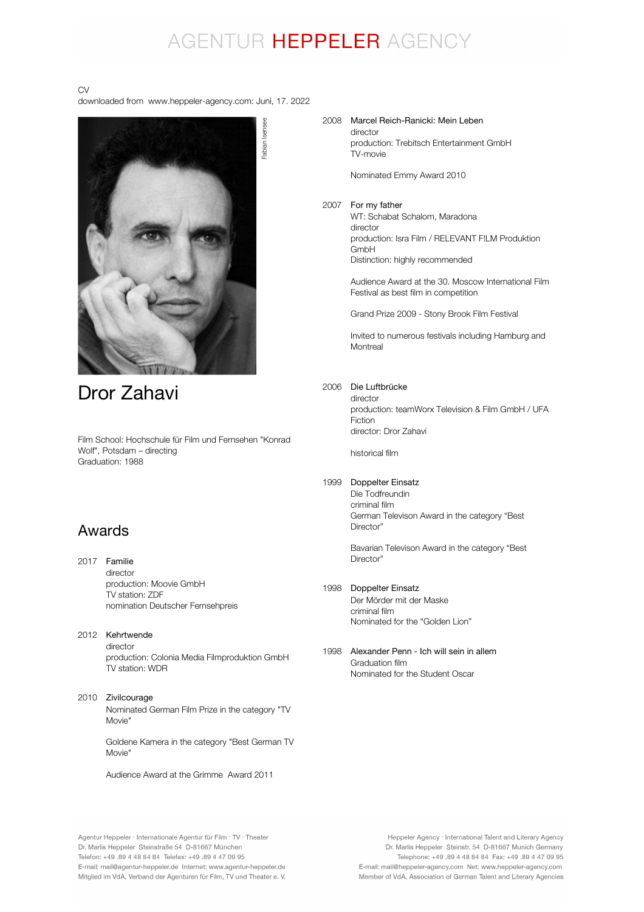## AGENTUR HEPPELER AGENCY

### CV

downloaded from www.heppeler-agency.com: Juni, 17. 2022



## Dror Zahavi

Film School: Hochschule für Film und Fernsehen "Konrad Wolf", Potsdam – directing Graduation: 1988

### Awards

- 2017 Familie director production: Moovie GmbH TV station: ZDF nomination Deutscher Fernsehpreis
- 2012 Kehrtwende director

production: Colonia Media Filmproduktion GmbH TV station: WDR

### 2010 Zivilcourage

Nominated German Film Prize in the category "TV Movie"

Goldene Kamera in the category "Best German TV Movie"

Audience Award at the Grimme Award 2011

#### 2008 Marcel Reich-Ranicki: Mein Leben director

production: Trebitsch Entertainment GmbH TV-movie

Nominated Emmy Award 2010

#### 2007 For my father

WT: Schabat Schalom, Maradona director production: Isra Film / RELEVANT F!LM Produktion GmbH Distinction: highly recommended

Audience Award at the 30. Moscow International Film Festival as best film in competition

Grand Prize 2009 - Stony Brook Film Festival

Invited to numerous festivals including Hamburg and **Montreal** 

### 2006 Die Luftbrücke

director production: teamWorx Television & Film GmbH / UFA **Fiction** director: Dror Zahavi

historical film

### 1999 Doppelter Einsatz

Die Todfreundin criminal film German Televison Award in the category "Best Director"

Bavarian Televison Award in the category "Best Director"

### 1998 Doppelter Einsatz

Der Mörder mit der Maske criminal film Nominated for the "Golden Lion"

1998 Alexander Penn - Ich will sein in allemGraduation film Nominated for the Student Oscar

Heppeler Agency · International Talent and Literary Agency Dr. Marlis Heppeler Steinstr. 54 D-81667 Munich Germany Telephone: +49 .89 4 48 84 84 Fax: +49 .89 4 47 09 95 E-mail: mail@heppeler-agency.com Net: www.heppeler-agency.com Member of VdA, Association of German Talent and Literary Agencies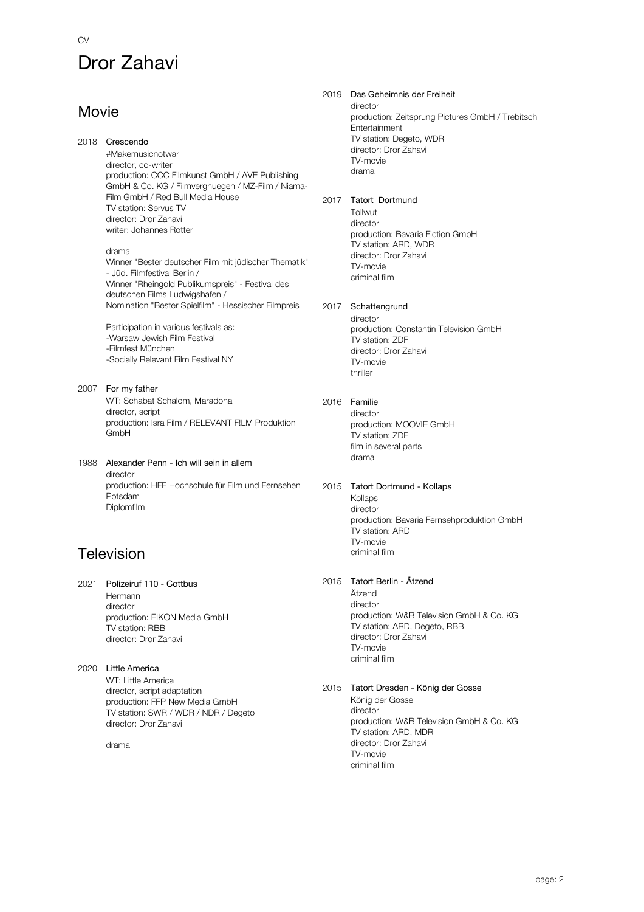# Dror Zahavi

### Movie

CV

2018 Crescendo

#Makemusicnotwar director, co-writer production: CCC Filmkunst GmbH / AVE Publishing GmbH & Co. KG / Filmvergnuegen / MZ-Film / Niama-Film GmbH / Red Bull Media House TV station: Servus TV director: Dror Zahavi writer: Johannes Rotter

### drama

Winner "Bester deutscher Film mit jüdischer Thematik" - Jüd. Filmfestival Berlin / Winner "Rheingold Publikumspreis" - Festival des deutschen Films Ludwigshafen / Nomination "Bester Spielfilm" - Hessischer Filmpreis

Participation in various festivals as: -Warsaw Jewish Film Festival -Filmfest München -Socially Relevant Film Festival NY

2007 For my father WT: Schabat Schalom, Maradona director, script production: Isra Film / RELEVANT F!LM Produktion GmbH

### 1988 Alexander Penn - Ich will sein in allem director production: HFF Hochschule für Film und Fernsehen Potsdam Diplomfilm

## Television

2021 Polizeiruf 110 - Cottbus Hermann director production: EIKON Media GmbH TV station: RBB director: Dror Zahavi

2020 Little America WT: Little America director, script adaptation production: FFP New Media GmbH TV station: SWR / WDR / NDR / Degeto director: Dror Zahavi

drama

2019 Das Geheimnis der Freiheit director production: Zeitsprung Pictures GmbH / Trebitsch **Entertainment** TV station: Degeto, WDR director: Dror Zahavi TV-movie drama 2017 Tatort Dortmund Tollwutt director production: Bavaria Fiction GmbH TV station: ARD, WDR director: Dror Zahavi TV-movie criminal film 2017 Schattengrund director production: Constantin Television GmbH TV station: ZDF director: Dror Zahavi TV-movie thriller 2016 Familie director production: MOOVIE GmbH TV station: ZDF film in several parts drama 2015 Tatort Dortmund - Kollaps Kollaps director production: Bavaria Fernsehproduktion GmbH TV station: ARD TV-movie criminal film 2015 Tatort Berlin - Ätzend Ätzend director production: W&B Television GmbH & Co. KG TV station: ARD, Degeto, RBB director: Dror Zahavi TV-movie criminal film 2015 Tatort Dresden - König der Gosse König der Gosse director production: W&B Television GmbH & Co. KG TV station: ARD, MDR director: Dror Zahavi

> TV-movie criminal film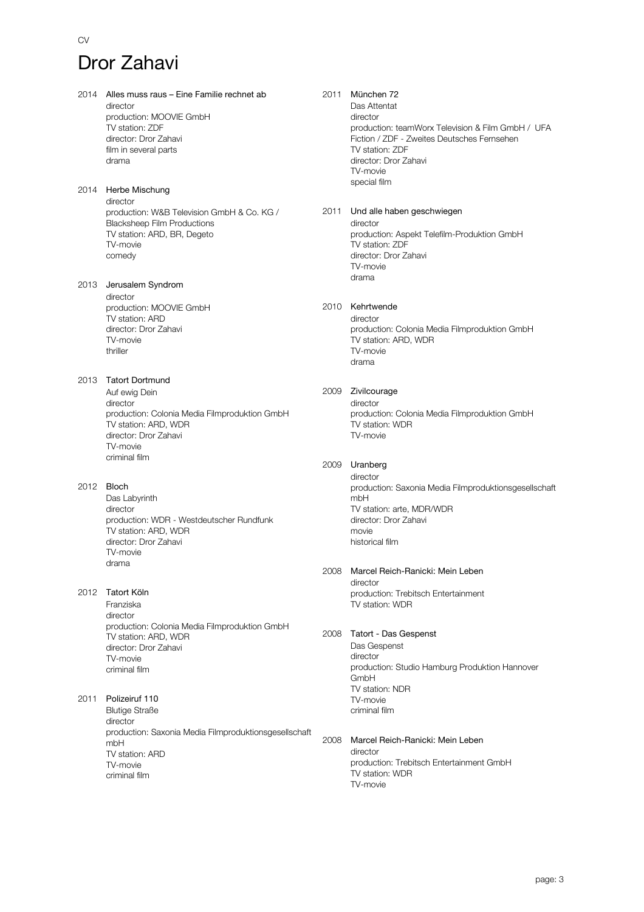# Dror Zahavi

CV

- 2014 Alles muss raus Eine Familie rechnet ab director production: MOOVIE GmbH TV station: ZDF director: Dror Zahavi film in several parts drama 2014 Herbe Mischung director
	- production: W&B Television GmbH & Co. KG / Blacksheep Film Productions TV station: ARD, BR, Degeto TV-movie comedy
- 2013 Jerusalem Syndrom director production: MOOVIE GmbH TV station: ARD director: Dror Zahavi TV-movie thriller

### 2013 Tatort Dortmund

Auf ewig Dein director production: Colonia Media Filmproduktion GmbH TV station: ARD, WDR director: Dror Zahavi TV-movie criminal film

### 2012 Bloch

Das Labyrinth director production: WDR - Westdeutscher Rundfunk TV station: ARD, WDR director: Dror Zahavi TV-movie drama

### 2012 Tatort Köln

Franziska director production: Colonia Media Filmproduktion GmbH TV station: ARD, WDR director: Dror Zahavi TV-movie criminal film

### 2011 Polizeiruf 110

Blutige Straße director production: Saxonia Media Filmproduktionsgesellschaft mbH TV station: ARD TV-movie criminal film

### 2011 München 72

Das Attentat director production: teamWorx Television & Film GmbH / UFA Fiction / ZDF - Zweites Deutsches Fernsehen TV station: ZDF director: Dror Zahavi TV-movie special film

### 2011 Und alle haben geschwiegen

director production: Aspekt Telefilm-Produktion GmbH TV station: ZDF director: Dror Zahavi TV-movie drama

### 2010 Kehrtwende

director production: Colonia Media Filmproduktion GmbH TV station: ARD, WDR TV-movie drama

### 2009 Zivilcourage

director production: Colonia Media Filmproduktion GmbH TV station: WDR TV-movie

### 2009 Uranberg

director production: Saxonia Media Filmproduktionsgesellschaft mbH TV station: arte, MDR/WDR director: Dror Zahavi movie historical film

### 2008 Marcel Reich-Ranicki: Mein Leben

director production: Trebitsch Entertainment TV station: WDR

### 2008 Tatort - Das Gespenst

Das Gespenst director production: Studio Hamburg Produktion Hannover GmbH TV station: NDR TV-movie criminal film

### 2008 Marcel Reich-Ranicki: Mein Leben director production: Trebitsch Entertainment GmbH

TV station: WDR TV-movie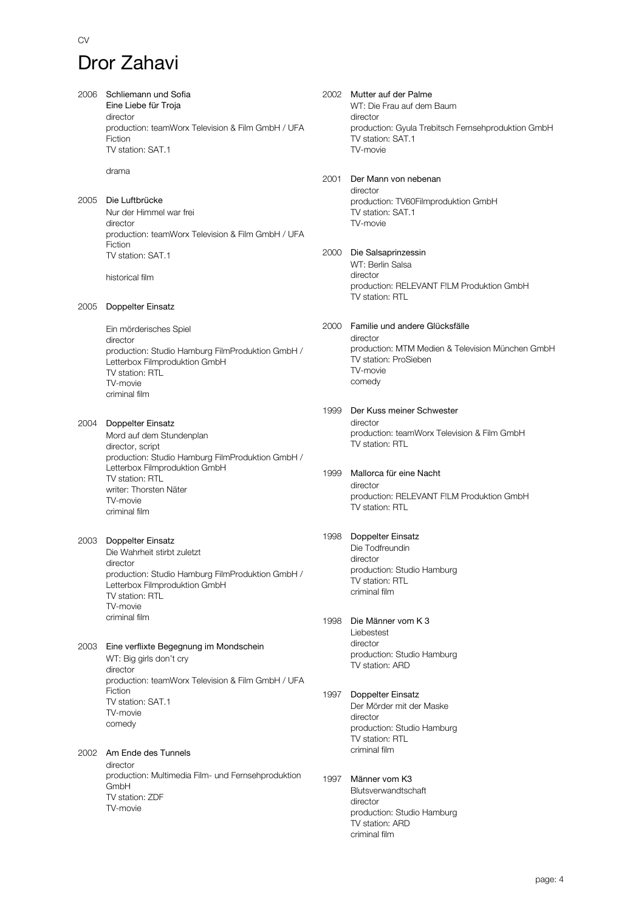# Dror Zahavi

CV

| 2006 | Schliemann und Sofia<br>Eine Liebe für Troja<br>director<br>production: teamWorx Television & Film GmbH / UFA<br>Fiction<br>TV station: SAT.1                                    |      | 2002 Mutter auf der Palme<br>WT: Die Frau auf dem Baum<br>director<br>production: Gyula Trebitsch Fernsehproduktion GmbH<br>TV station: SAT.1<br>TV-movie |
|------|----------------------------------------------------------------------------------------------------------------------------------------------------------------------------------|------|-----------------------------------------------------------------------------------------------------------------------------------------------------------|
|      | drama                                                                                                                                                                            | 2001 | Der Mann von nebenan<br>director                                                                                                                          |
| 2005 | Die Luftbrücke<br>Nur der Himmel war frei<br>director<br>production: teamWorx Television & Film GmbH / UFA<br>Fiction                                                            |      | production: TV60Filmproduktion GmbH<br>TV station: SAT.1<br>TV-movie                                                                                      |
|      | TV station: SAT.1<br>historical film                                                                                                                                             | 2000 | Die Salsaprinzessin<br>WT: Berlin Salsa<br>director<br>production: RELEVANT F!LM Produktion GmbH                                                          |
| 2005 | Doppelter Einsatz                                                                                                                                                                |      | TV station: RTL                                                                                                                                           |
|      | Ein mörderisches Spiel<br>director<br>production: Studio Hamburg FilmProduktion GmbH /<br>Letterbox Filmproduktion GmbH<br>TV station: RTL<br>TV-movie<br>criminal film          | 2000 | Familie und andere Glücksfälle<br>director<br>production: MTM Medien & Television München GmbH<br>TV station: ProSieben<br>TV-movie<br>comedy             |
| 2004 | Doppelter Einsatz<br>Mord auf dem Stundenplan<br>director, script<br>production: Studio Hamburg FilmProduktion GmbH /<br>Letterbox Filmproduktion GmbH                           | 1999 | Der Kuss meiner Schwester<br>director<br>production: teamWorx Television & Film GmbH<br>TV station: RTL                                                   |
|      | TV station: RTL<br>writer: Thorsten Näter<br>TV-movie<br>criminal film                                                                                                           | 1999 | Mallorca für eine Nacht<br>director<br>production: RELEVANT FILM Produktion GmbH<br>TV station: RTL                                                       |
| 2003 | Doppelter Einsatz<br>Die Wahrheit stirbt zuletzt<br>director<br>production: Studio Hamburg FilmProduktion GmbH /<br>Letterbox Filmproduktion GmbH<br>TV station: RTL<br>TV-movie | 1998 | Doppelter Einsatz<br>Die Todfreundin<br>director<br>production: Studio Hamburg<br>TV station: RTL<br>criminal film                                        |
| 2003 | criminal film<br>Eine verflixte Begegnung im Mondschein<br>WT: Big girls don't cry<br>director                                                                                   | 1998 | Die Männer vom K 3<br>Liebestest<br>director<br>production: Studio Hamburg<br>TV station: ARD                                                             |
|      | production: teamWorx Television & Film GmbH / UFA<br>Fiction<br>TV station: SAT.1<br>TV-movie<br>comedy                                                                          | 1997 | Doppelter Einsatz<br>Der Mörder mit der Maske<br>director<br>production: Studio Hamburg<br>TV station: RTL                                                |
| 2002 | Am Ende des Tunnels<br>director<br>production: Multimedia Film- und Fernsehproduktion<br>GmbH<br>TV station: ZDF<br>TV-movie                                                     | 1997 | criminal film<br>Männer vom K3<br>Blutsverwandtschaft<br>director<br>production: Studio Hamburg<br>TV station: ARD                                        |

criminal film